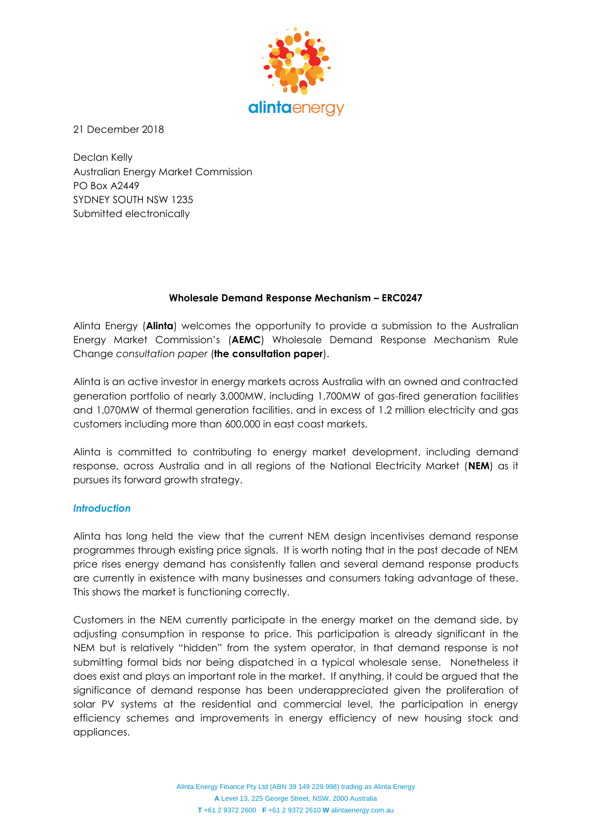

21 December 2018

Declan Kelly Australian Energy Market Commission PO Box A2449 SYDNEY SOUTH NSW 1235 Submitted electronically

### **Wholesale Demand Response Mechanism – ERC0247**

Alinta Energy (**Alinta**) welcomes the opportunity to provide a submission to the Australian Energy Market Commission's (**AEMC**) Wholesale Demand Response Mechanism Rule Change *consultation paper* (**the consultation paper**).

Alinta is an active investor in energy markets across Australia with an owned and contracted generation portfolio of nearly 3,000MW, including 1,700MW of gas-fired generation facilities and 1,070MW of thermal generation facilities, and in excess of 1.2 million electricity and gas customers including more than 600,000 in east coast markets.

Alinta is committed to contributing to energy market development, including demand response, across Australia and in all regions of the National Electricity Market (**NEM**) as it pursues its forward growth strategy.

#### *Introduction*

Alinta has long held the view that the current NEM design incentivises demand response programmes through existing price signals. It is worth noting that in the past decade of NEM price rises energy demand has consistently fallen and several demand response products are currently in existence with many businesses and consumers taking advantage of these. This shows the market is functioning correctly.

Customers in the NEM currently participate in the energy market on the demand side, by adjusting consumption in response to price. This participation is already significant in the NEM but is relatively "hidden" from the system operator, in that demand response is not submitting formal bids nor being dispatched in a typical wholesale sense. Nonetheless it does exist and plays an important role in the market. If anything, it could be argued that the significance of demand response has been underappreciated given the proliferation of solar PV systems at the residential and commercial level, the participation in energy efficiency schemes and improvements in energy efficiency of new housing stock and appliances.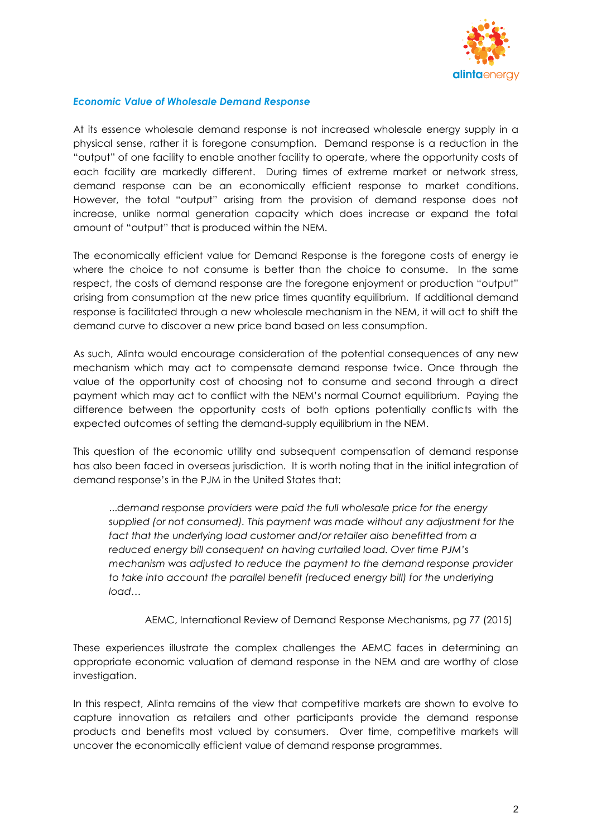

### *Economic Value of Wholesale Demand Response*

At its essence wholesale demand response is not increased wholesale energy supply in a physical sense, rather it is foregone consumption. Demand response is a reduction in the "output" of one facility to enable another facility to operate, where the opportunity costs of each facility are markedly different. During times of extreme market or network stress, demand response can be an economically efficient response to market conditions. However, the total "output" arising from the provision of demand response does not increase, unlike normal generation capacity which does increase or expand the total amount of "output" that is produced within the NEM.

The economically efficient value for Demand Response is the foregone costs of energy ie where the choice to not consume is better than the choice to consume. In the same respect, the costs of demand response are the foregone enjoyment or production "output" arising from consumption at the new price times quantity equilibrium. If additional demand response is facilitated through a new wholesale mechanism in the NEM, it will act to shift the demand curve to discover a new price band based on less consumption.

As such, Alinta would encourage consideration of the potential consequences of any new mechanism which may act to compensate demand response twice. Once through the value of the opportunity cost of choosing not to consume and second through a direct payment which may act to conflict with the NEM's normal Cournot equilibrium. Paying the difference between the opportunity costs of both options potentially conflicts with the expected outcomes of setting the demand-supply equilibrium in the NEM.

This question of the economic utility and subsequent compensation of demand response has also been faced in overseas jurisdiction. It is worth noting that in the initial integration of demand response's in the PJM in the United States that:

...d*emand response providers were paid the full wholesale price for the energy supplied (or not consumed). This payment was made without any adjustment for the fact that the underlying load customer and/or retailer also benefitted from a reduced energy bill consequent on having curtailed load. Over time PJM's mechanism was adjusted to reduce the payment to the demand response provider to take into account the parallel benefit (reduced energy bill) for the underlying load…*

AEMC, International Review of Demand Response Mechanisms, pg 77 (2015)

These experiences illustrate the complex challenges the AEMC faces in determining an appropriate economic valuation of demand response in the NEM and are worthy of close investigation.

In this respect, Alinta remains of the view that competitive markets are shown to evolve to capture innovation as retailers and other participants provide the demand response products and benefits most valued by consumers. Over time, competitive markets will uncover the economically efficient value of demand response programmes.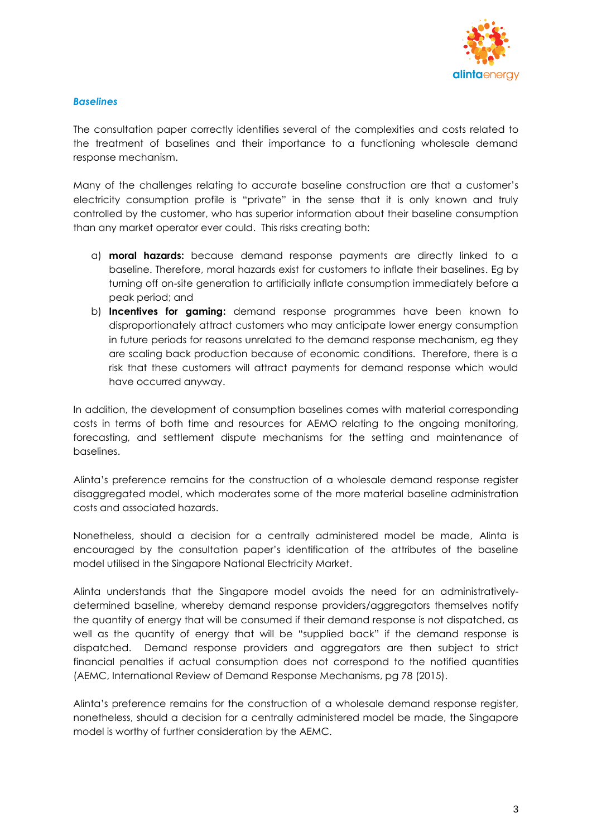

## *Baselines*

The consultation paper correctly identifies several of the complexities and costs related to the treatment of baselines and their importance to a functioning wholesale demand response mechanism.

Many of the challenges relating to accurate baseline construction are that a customer's electricity consumption profile is "private" in the sense that it is only known and truly controlled by the customer, who has superior information about their baseline consumption than any market operator ever could. This risks creating both:

- a) **moral hazards:** because demand response payments are directly linked to a baseline. Therefore, moral hazards exist for customers to inflate their baselines. Eg by turning off on-site generation to artificially inflate consumption immediately before a peak period; and
- b) **Incentives for gaming:** demand response programmes have been known to disproportionately attract customers who may anticipate lower energy consumption in future periods for reasons unrelated to the demand response mechanism, eg they are scaling back production because of economic conditions. Therefore, there is a risk that these customers will attract payments for demand response which would have occurred anyway.

In addition, the development of consumption baselines comes with material corresponding costs in terms of both time and resources for AEMO relating to the ongoing monitoring, forecasting, and settlement dispute mechanisms for the setting and maintenance of baselines.

Alinta's preference remains for the construction of a wholesale demand response register disaggregated model, which moderates some of the more material baseline administration costs and associated hazards.

Nonetheless, should a decision for a centrally administered model be made, Alinta is encouraged by the consultation paper's identification of the attributes of the baseline model utilised in the Singapore National Electricity Market.

Alinta understands that the Singapore model avoids the need for an administrativelydetermined baseline, whereby demand response providers/aggregators themselves notify the quantity of energy that will be consumed if their demand response is not dispatched, as well as the quantity of energy that will be "supplied back" if the demand response is dispatched. Demand response providers and aggregators are then subject to strict financial penalties if actual consumption does not correspond to the notified quantities (AEMC, International Review of Demand Response Mechanisms, pg 78 (2015).

Alinta's preference remains for the construction of a wholesale demand response register, nonetheless, should a decision for a centrally administered model be made, the Singapore model is worthy of further consideration by the AEMC.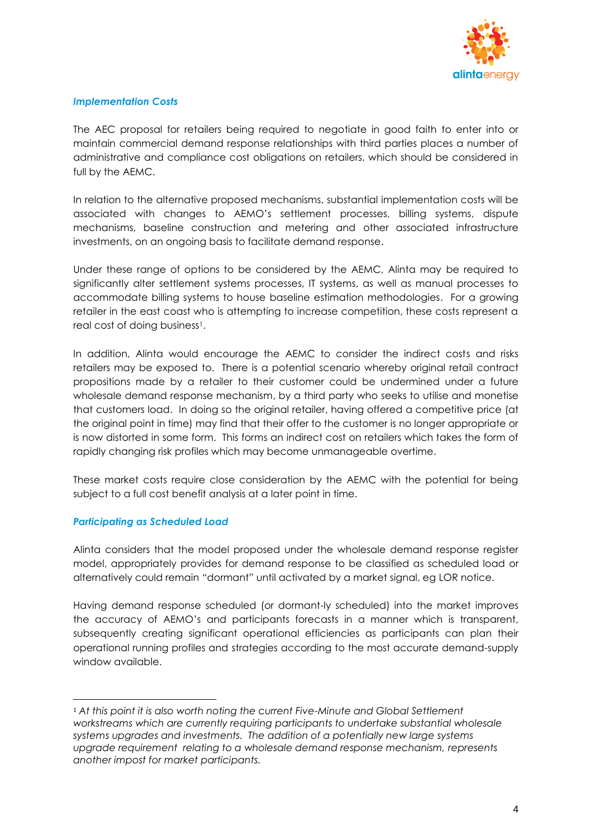

# *Implementation Costs*

The AEC proposal for retailers being required to negotiate in good faith to enter into or maintain commercial demand response relationships with third parties places a number of administrative and compliance cost obligations on retailers, which should be considered in full by the AEMC.

In relation to the alternative proposed mechanisms, substantial implementation costs will be associated with changes to AEMO's settlement processes, billing systems, dispute mechanisms, baseline construction and metering and other associated infrastructure investments, on an ongoing basis to facilitate demand response.

Under these range of options to be considered by the AEMC, Alinta may be required to significantly alter settlement systems processes, IT systems, as well as manual processes to accommodate billing systems to house baseline estimation methodologies. For a growing retailer in the east coast who is attempting to increase competition, these costs represent a real cost of doing business1.

In addition, Alinta would encourage the AEMC to consider the indirect costs and risks retailers may be exposed to. There is a potential scenario whereby original retail contract propositions made by a retailer to their customer could be undermined under a future wholesale demand response mechanism, by a third party who seeks to utilise and monetise that customers load. In doing so the original retailer, having offered a competitive price (at the original point in time) may find that their offer to the customer is no longer appropriate or is now distorted in some form. This forms an indirect cost on retailers which takes the form of rapidly changing risk profiles which may become unmanageable overtime.

These market costs require close consideration by the AEMC with the potential for being subject to a full cost benefit analysis at a later point in time.

# *Participating as Scheduled Load*

 $\overline{\phantom{a}}$ 

Alinta considers that the model proposed under the wholesale demand response register model, appropriately provides for demand response to be classified as scheduled load or alternatively could remain "dormant" until activated by a market signal, eg LOR notice.

Having demand response scheduled (or dormant-ly scheduled) into the market improves the accuracy of AEMO's and participants forecasts in a manner which is transparent, subsequently creating significant operational efficiencies as participants can plan their operational running profiles and strategies according to the most accurate demand-supply window available.

<sup>1</sup> *At this point it is also worth noting the current Five-Minute and Global Settlement workstreams which are currently requiring participants to undertake substantial wholesale systems upgrades and investments. The addition of a potentially new large systems upgrade requirement relating to a wholesale demand response mechanism, represents another impost for market participants.*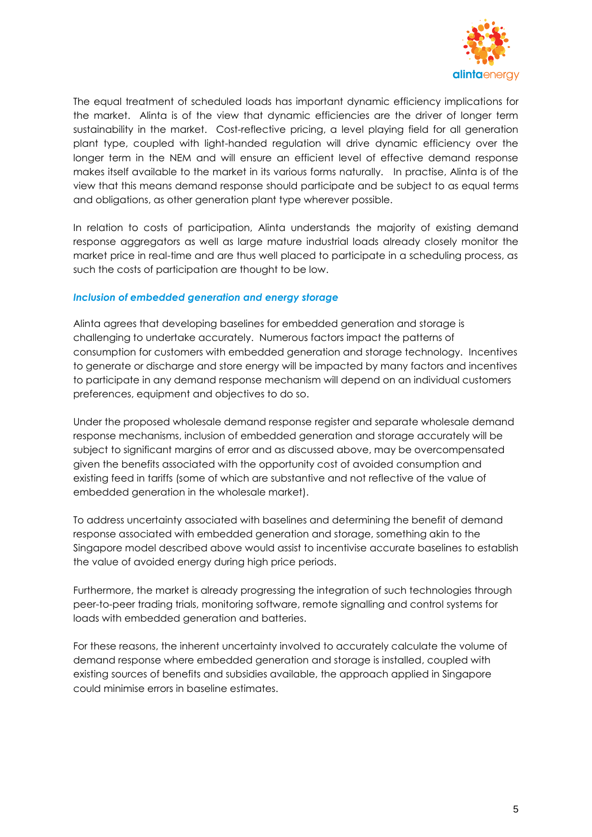

The equal treatment of scheduled loads has important dynamic efficiency implications for the market. Alinta is of the view that dynamic efficiencies are the driver of longer term sustainability in the market. Cost-reflective pricing, a level playing field for all generation plant type, coupled with light-handed regulation will drive dynamic efficiency over the longer term in the NEM and will ensure an efficient level of effective demand response makes itself available to the market in its various forms naturally. In practise, Alinta is of the view that this means demand response should participate and be subject to as equal terms and obligations, as other generation plant type wherever possible.

In relation to costs of participation, Alinta understands the majority of existing demand response aggregators as well as large mature industrial loads already closely monitor the market price in real-time and are thus well placed to participate in a scheduling process, as such the costs of participation are thought to be low.

### *Inclusion of embedded generation and energy storage*

Alinta agrees that developing baselines for embedded generation and storage is challenging to undertake accurately. Numerous factors impact the patterns of consumption for customers with embedded generation and storage technology. Incentives to generate or discharge and store energy will be impacted by many factors and incentives to participate in any demand response mechanism will depend on an individual customers preferences, equipment and objectives to do so.

Under the proposed wholesale demand response register and separate wholesale demand response mechanisms, inclusion of embedded generation and storage accurately will be subject to significant margins of error and as discussed above, may be overcompensated given the benefits associated with the opportunity cost of avoided consumption and existing feed in tariffs (some of which are substantive and not reflective of the value of embedded generation in the wholesale market).

To address uncertainty associated with baselines and determining the benefit of demand response associated with embedded generation and storage, something akin to the Singapore model described above would assist to incentivise accurate baselines to establish the value of avoided energy during high price periods.

Furthermore, the market is already progressing the integration of such technologies through peer-to-peer trading trials, monitoring software, remote signalling and control systems for loads with embedded generation and batteries.

For these reasons, the inherent uncertainty involved to accurately calculate the volume of demand response where embedded generation and storage is installed, coupled with existing sources of benefits and subsidies available, the approach applied in Singapore could minimise errors in baseline estimates.